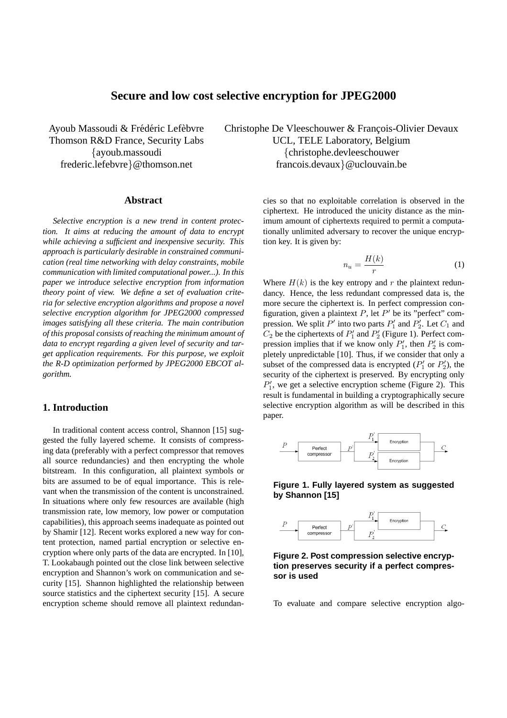# **Secure and low cost selective encryption for JPEG2000**

Ayoub Massoudi & Frédéric Lefèbvre Thomson R&D France, Security Labs {ayoub.massoudi frederic.lefebvre}@thomson.net

# **Abstract**

*Selective encryption is a new trend in content protection. It aims at reducing the amount of data to encrypt while achieving a sufficient and inexpensive security. This approach is particularly desirable in constrained communication (real time networking with delay constraints, mobile communication with limited computational power...). In this paper we introduce selective encryption from information theory point of view. We define a set of evaluation criteria for selective encryption algorithms and propose a novel selective encryption algorithm for JPEG2000 compressed images satisfying all these criteria. The main contribution of this proposal consists of reaching the minimum amount of data to encrypt regarding a given level of security and target application requirements. For this purpose, we exploit the R-D optimization performed by JPEG2000 EBCOT algorithm.*

# **1. Introduction**

In traditional content access control, Shannon [15] suggested the fully layered scheme. It consists of compressing data (preferably with a perfect compressor that removes all source redundancies) and then encrypting the whole bitstream. In this configuration, all plaintext symbols or bits are assumed to be of equal importance. This is relevant when the transmission of the content is unconstrained. In situations where only few resources are available (high transmission rate, low memory, low power or computation capabilities), this approach seems inadequate as pointed out by Shamir [12]. Recent works explored a new way for content protection, named partial encryption or selective encryption where only parts of the data are encrypted. In [10], T. Lookabaugh pointed out the close link between selective encryption and Shannon's work on communication and security [15]. Shannon highlighted the relationship between source statistics and the ciphertext security [15]. A secure encryption scheme should remove all plaintext redundan-

Christophe De Vleeschouwer & Francois-Olivier Devaux UCL, TELE Laboratory, Belgium {christophe.devleeschouwer francois.devaux}@uclouvain.be

> cies so that no exploitable correlation is observed in the ciphertext. He introduced the unicity distance as the minimum amount of ciphertexts required to permit a computationally unlimited adversary to recover the unique encryption key. It is given by:

$$
n_u = \frac{H(k)}{r} \tag{1}
$$

Where  $H(k)$  is the key entropy and r the plaintext redundancy. Hence, the less redundant compressed data is, the more secure the ciphertext is. In perfect compression configuration, given a plaintext  $P$ , let  $P'$  be its "perfect" compression. We split  $P'$  into two parts  $P'_1$  and  $P'_2$ . Let  $C_1$  and  $C_2$  be the ciphertexts of  $P'_1$  and  $P'_2$  (Figure 1). Perfect compression implies that if we know only  $P'_1$ , then  $P'_2$  is completely unpredictable [10]. Thus, if we consider that only a subset of the compressed data is encrypted  $(P'_1$  or  $P'_2$ ), the security of the ciphertext is preserved. By encrypting only  $P'_1$ , we get a selective encryption scheme (Figure 2). This result is fundamental in building a cryptographically secure selective encryption algorithm as will be described in this paper.



**Figure 1. Fully layered system as suggested by Shannon [15]**



**Figure 2. Post compression selective encryption preserves security if a perfect compressor is used**

To evaluate and compare selective encryption algo-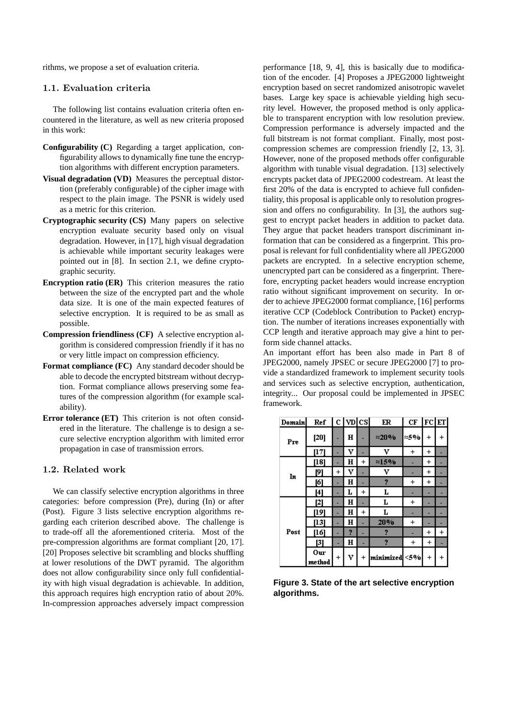rithms, we propose a set of evaluation criteria.

## 1.1. Evaluation criteria

The following list contains evaluation criteria often encountered in the literature, as well as new criteria proposed in this work:

- **Configurability (C)** Regarding a target application, configurability allows to dynamically fine tune the encryption algorithms with different encryption parameters.
- **Visual degradation (VD)** Measures the perceptual distortion (preferably configurable) of the cipher image with respect to the plain image. The PSNR is widely used as a metric for this criterion.
- **Cryptographic security (CS)** Many papers on selective encryption evaluate security based only on visual degradation. However, in [17], high visual degradation is achievable while important security leakages were pointed out in [8]. In section 2.1, we define cryptographic security.
- **Encryption ratio (ER)** This criterion measures the ratio between the size of the encrypted part and the whole data size. It is one of the main expected features of selective encryption. It is required to be as small as possible.
- **Compression friendliness (CF)** A selective encryption algorithm is considered compression friendly if it has no or very little impact on compression efficiency.
- **Format compliance (FC)** Any standard decoder should be able to decode the encrypted bitstream without decryption. Format compliance allows preserving some features of the compression algorithm (for example scalability).
- **Error tolerance (ET)** This criterion is not often considered in the literature. The challenge is to design a secure selective encryption algorithm with limited error propagation in case of transmission errors.

## 1.2. Related work

We can classify selective encryption algorithms in three categories: before compression (Pre), during (In) or after (Post). Figure 3 lists selective encryption algorithms regarding each criterion described above. The challenge is to trade-off all the aforementioned criteria. Most of the pre-compression algorithms are format compliant [20, 17]. [20] Proposes selective bit scrambling and blocks shuffling at lower resolutions of the DWT pyramid. The algorithm does not allow configurability since only full confidentiality with high visual degradation is achievable. In addition, this approach requires high encryption ratio of about 20%. In-compression approaches adversely impact compression performance [18, 9, 4], this is basically due to modification of the encoder. [4] Proposes a JPEG2000 lightweight encryption based on secret randomized anisotropic wavelet bases. Large key space is achievable yielding high security level. However, the proposed method is only applicable to transparent encryption with low resolution preview. Compression performance is adversely impacted and the full bitstream is not format compliant. Finally, most postcompression schemes are compression friendly [2, 13, 3]. However, none of the proposed methods offer configurable algorithm with tunable visual degradation. [13] selectively encrypts packet data of JPEG2000 codestream. At least the first 20% of the data is encrypted to achieve full confidentiality, this proposal is applicable only to resolution progression and offers no configurability. In [3], the authors suggest to encrypt packet headers in addition to packet data. They argue that packet headers transport discriminant information that can be considered as a fingerprint. This proposal is relevant for full confidentiality where all JPEG2000 packets are encrypted. In a selective encryption scheme, unencrypted part can be considered as a fingerprint. Therefore, encrypting packet headers would increase encryption ratio without significant improvement on security. In order to achieve JPEG2000 format compliance, [16] performs iterative CCP (Codeblock Contribution to Packet) encryption. The number of iterations increases exponentially with CCP length and iterative approach may give a hint to perform side channel attacks.

An important effort has been also made in Part 8 of JPEG2000, namely JPSEC or secure JPEG2000 [7] to provide a standardized framework to implement security tools and services such as selective encryption, authentication, integrity... Our proposal could be implemented in JPSEC framework.

| Domain | Ref           |                | $c$   $v$ <sub>D</sub> $ cs $ |           | ER            | CF        | $ \mathrm{FC} \mathrm{ET} $ |            |
|--------|---------------|----------------|-------------------------------|-----------|---------------|-----------|-----------------------------|------------|
| Pre    | $[20]$        |                | н                             |           | $\approx$ 20% | ≈5%       | $^{+}$                      | $\hbox{ }$ |
|        | [17]          |                | v                             |           | v             | $\,^+$    | $\,^+$                      |            |
| In     | [18]          |                | н                             | $\ddot{}$ | $\approx$ 15% |           | $\ddot{}$                   |            |
|        | 191           | $\overline{+}$ | v                             |           | v             |           | $\pmb{+}$                   |            |
|        | [6]           |                | н                             |           | 2             | $\ddot{}$ | $\ddot{}$                   |            |
|        | [4]           |                | L                             | $\ddot{}$ | L             |           |                             |            |
| Post   | [2]           |                | н                             |           | L             | $\,^+$    |                             |            |
|        | [19]          |                | н                             | $^{+}$    | L             |           |                             |            |
|        | [13]          |                | н                             |           | 20%           | $\,^+$    |                             |            |
|        | [16]          |                | 2                             |           | 2             |           | $\pmb{+}$                   | $\ddot{}$  |
|        | [3]           |                | н                             |           | 2             | $^{+}$    | $\ddot{}$                   |            |
|        | Оur<br>method | +              | v                             |           | minimized <5% |           | $\ddot{}$                   | $\pmb{+}$  |

**Figure 3. State of the art selective encryption algorithms.**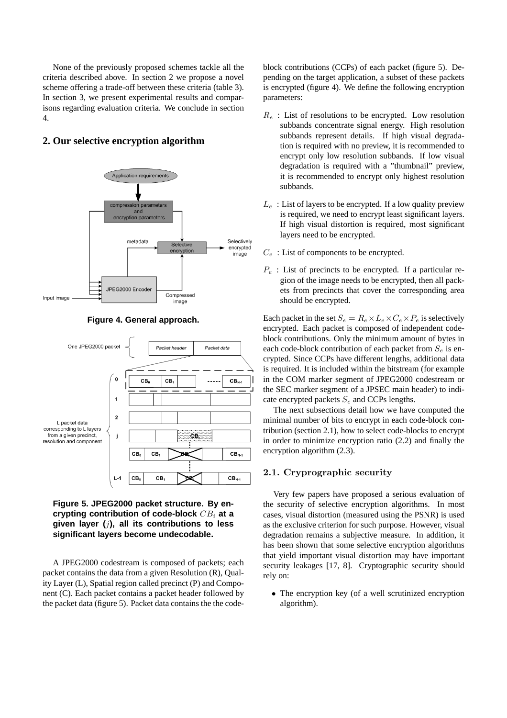None of the previously proposed schemes tackle all the criteria described above. In section 2 we propose a novel scheme offering a trade-off between these criteria (table 3). In section 3, we present experimental results and comparisons regarding evaluation criteria. We conclude in section 4.

# **2. Our selective encryption algorithm**







**Figure 5. JPEG2000 packet structure. By encrypting contribution of code-block** CB<sup>i</sup> **at a given layer (**j**), all its contributions to less significant layers become undecodable.**

A JPEG2000 codestream is composed of packets; each packet contains the data from a given Resolution (R), Quality Layer (L), Spatial region called precinct (P) and Component (C). Each packet contains a packet header followed by the packet data (figure 5). Packet data contains the the codeblock contributions (CCPs) of each packet (figure 5). Depending on the target application, a subset of these packets is encrypted (figure 4). We define the following encryption parameters:

- $R_e$ : List of resolutions to be encrypted. Low resolution subbands concentrate signal energy. High resolution subbands represent details. If high visual degradation is required with no preview, it is recommended to encrypt only low resolution subbands. If low visual degradation is required with a "thumbnail" preview, it is recommended to encrypt only highest resolution subbands.
- $L_e$ : List of layers to be encrypted. If a low quality preview is required, we need to encrypt least significant layers. If high visual distortion is required, most significant layers need to be encrypted.
- $C_e$ : List of components to be encrypted.
- $P_e$ : List of precincts to be encrypted. If a particular region of the image needs to be encrypted, then all packets from precincts that cover the corresponding area should be encrypted.

Each packet in the set  $S_e = R_e \times L_e \times C_e \times P_e$  is selectively encrypted. Each packet is composed of independent codeblock contributions. Only the minimum amount of bytes in each code-block contribution of each packet from  $S_e$  is encrypted. Since CCPs have different lengths, additional data is required. It is included within the bitstream (for example in the COM marker segment of JPEG2000 codestream or the SEC marker segment of a JPSEC main header) to indicate encrypted packets  $S_e$  and CCPs lengths.

The next subsections detail how we have computed the minimal number of bits to encrypt in each code-block contribution (section 2.1), how to select code-blocks to encrypt in order to minimize encryption ratio (2.2) and finally the encryption algorithm (2.3).

# 2.1. Cryprographic security

Very few papers have proposed a serious evaluation of the security of selective encryption algorithms. In most cases, visual distortion (measured using the PSNR) is used as the exclusive criterion for such purpose. However, visual degradation remains a subjective measure. In addition, it has been shown that some selective encryption algorithms that yield important visual distortion may have important security leakages [17, 8]. Cryptographic security should rely on:

• The encryption key (of a well scrutinized encryption algorithm).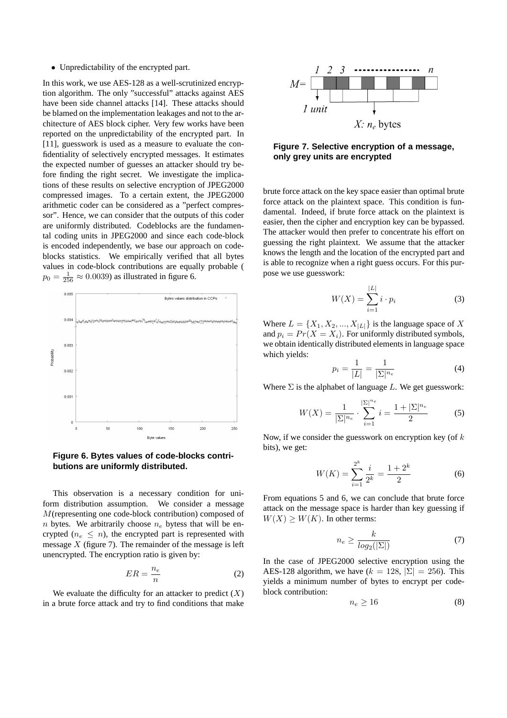• Unpredictability of the encrypted part.

In this work, we use AES-128 as a well-scrutinized encryption algorithm. The only "successful" attacks against AES have been side channel attacks [14]. These attacks should be blamed on the implementation leakages and not to the architecture of AES block cipher. Very few works have been reported on the unpredictability of the encrypted part. In [11], guesswork is used as a measure to evaluate the confidentiality of selectively encrypted messages. It estimates the expected number of guesses an attacker should try before finding the right secret. We investigate the implications of these results on selective encryption of JPEG2000 compressed images. To a certain extent, the JPEG2000 arithmetic coder can be considered as a "perfect compressor". Hence, we can consider that the outputs of this coder are uniformly distributed. Codeblocks are the fundamental coding units in JPEG2000 and since each code-block is encoded independently, we base our approach on codeblocks statistics. We empirically verified that all bytes values in code-block contributions are equally probable (  $p_0 = \frac{1}{256} \approx 0.0039$ ) as illustrated in figure 6.



**Figure 6. Bytes values of code-blocks contributions are uniformly distributed.**

This observation is a necessary condition for uniform distribution assumption. We consider a message M(representing one code-block contribution) composed of n bytes. We arbitrarily choose  $n_e$  bytess that will be encrypted ( $n_e \leq n$ ), the encrypted part is represented with message  $X$  (figure 7). The remainder of the message is left unencrypted. The encryption ratio is given by:

$$
ER = \frac{n_e}{n} \tag{2}
$$

We evaluate the difficulty for an attacker to predict  $(X)$ in a brute force attack and try to find conditions that make



**Figure 7. Selective encryption of a message, only grey units are encrypted**

brute force attack on the key space easier than optimal brute force attack on the plaintext space. This condition is fundamental. Indeed, if brute force attack on the plaintext is easier, then the cipher and encryption key can be bypassed. The attacker would then prefer to concentrate his effort on guessing the right plaintext. We assume that the attacker knows the length and the location of the encrypted part and is able to recognize when a right guess occurs. For this purpose we use guesswork:

$$
W(X) = \sum_{i=1}^{|L|} i \cdot p_i \tag{3}
$$

Where  $L = \{X_1, X_2, ..., X_{|L|}\}\$ is the language space of X and  $p_i = Pr(X = X_i)$ . For uniformly distributed symbols, we obtain identically distributed elements in language space which yields:

$$
p_i = \frac{1}{|L|} = \frac{1}{|\Sigma|^{n_e}}
$$
 (4)

Where  $\Sigma$  is the alphabet of language L. We get guesswork:

$$
W(X) = \frac{1}{|\Sigma|^{n_e}} \cdot \sum_{i=1}^{|\Sigma|^{n_e}} i = \frac{1 + |\Sigma|^{n_e}}{2}
$$
 (5)

Now, if we consider the guesswork on encryption key (of  $k$ ) bits), we get:

$$
W(K) = \sum_{i=1}^{2^k} \frac{i}{2^k} = \frac{1+2^k}{2}
$$
 (6)

From equations 5 and 6, we can conclude that brute force attack on the message space is harder than key guessing if  $W(X) \geq W(K)$ . In other terms:

$$
n_e \ge \frac{k}{log_2(|\Sigma|)}\tag{7}
$$

In the case of JPEG2000 selective encryption using the AES-128 algorithm, we have  $(k = 128, |\Sigma| = 256)$ . This yields a minimum number of bytes to encrypt per codeblock contribution:

$$
n_e \ge 16\tag{8}
$$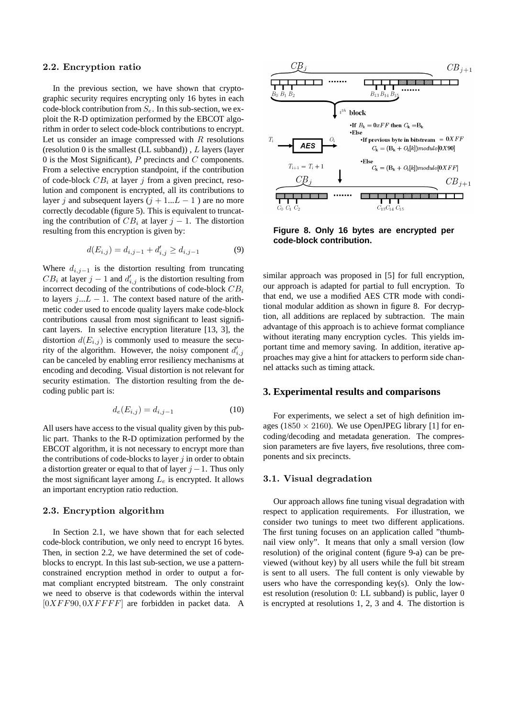#### 2.2. Encryption ratio

In the previous section, we have shown that cryptographic security requires encrypting only 16 bytes in each code-block contribution from  $S_e$ . In this sub-section, we exploit the R-D optimization performed by the EBCOT algorithm in order to select code-block contributions to encrypt. Let us consider an image compressed with  $R$  resolutions (resolution 0 is the smallest (LL subband)),  $L$  layers (layer 0 is the Most Significant),  $P$  precincts and  $C$  components. From a selective encryption standpoint, if the contribution of code-block  $CB_i$  at layer j from a given precinct, resolution and component is encrypted, all its contributions to layer j and subsequent layers  $(j + 1...L - 1)$  are no more correctly decodable (figure 5). This is equivalent to truncating the contribution of  $CB_i$  at layer  $j - 1$ . The distortion resulting from this encryption is given by:

$$
d(E_{i,j}) = d_{i,j-1} + d'_{i,j} \ge d_{i,j-1}
$$
\n(9)

Where  $d_{i,j-1}$  is the distortion resulting from truncating  $CB_i$  at layer  $j-1$  and  $d'_{i,j}$  is the distortion resulting from incorrect decoding of the contributions of code-block  $CB_i$ to layers  $j...L - 1$ . The context based nature of the arithmetic coder used to encode quality layers make code-block contributions causal from most significant to least significant layers. In selective encryption literature [13, 3], the distortion  $d(E_{i,j})$  is commonly used to measure the security of the algorithm. However, the noisy component  $d'_{i,j}$ can be canceled by enabling error resiliency mechanisms at encoding and decoding. Visual distortion is not relevant for security estimation. The distortion resulting from the decoding public part is:

$$
d_e(E_{i,j}) = d_{i,j-1} \tag{10}
$$

All users have access to the visual quality given by this public part. Thanks to the R-D optimization performed by the EBCOT algorithm, it is not necessary to encrypt more than the contributions of code-blocks to layer  $j$  in order to obtain a distortion greater or equal to that of layer  $j - 1$ . Thus only the most significant layer among  $L_e$  is encrypted. It allows an important encryption ratio reduction.

## 2.3. Encryption algorithm

In Section 2.1, we have shown that for each selected code-block contribution, we only need to encrypt 16 bytes. Then, in section 2.2, we have determined the set of codeblocks to encrypt. In this last sub-section, we use a patternconstrained encryption method in order to output a format compliant encrypted bitstream. The only constraint we need to observe is that codewords within the interval  $[0XFF90, 0XFFFF]$  are forbidden in packet data. A



**Figure 8. Only 16 bytes are encrypted per code-block contribution.**

similar approach was proposed in [5] for full encryption, our approach is adapted for partial to full encryption. To that end, we use a modified AES CTR mode with conditional modular addition as shown in figure 8. For decryption, all additions are replaced by subtraction. The main advantage of this approach is to achieve format compliance without iterating many encryption cycles. This yields important time and memory saving. In addition, iterative approaches may give a hint for attackers to perform side channel attacks such as timing attack.

#### **3. Experimental results and comparisons**

For experiments, we select a set of high definition images (1850  $\times$  2160). We use OpenJPEG library [1] for encoding/decoding and metadata generation. The compression parameters are five layers, five resolutions, three components and six precincts.

### 3.1. Visual degradation

Our approach allows fine tuning visual degradation with respect to application requirements. For illustration, we consider two tunings to meet two different applications. The first tuning focuses on an application called "thumbnail view only". It means that only a small version (low resolution) of the original content (figure 9-a) can be previewed (without key) by all users while the full bit stream is sent to all users. The full content is only viewable by users who have the corresponding key(s). Only the lowest resolution (resolution 0: LL subband) is public, layer 0 is encrypted at resolutions 1, 2, 3 and 4. The distortion is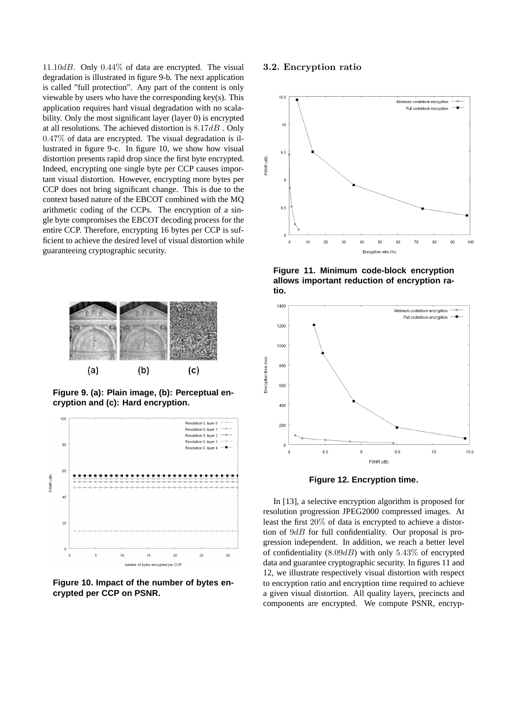11.10dB. Only  $0.44\%$  of data are encrypted. The visual degradation is illustrated in figure 9-b. The next application is called "full protection". Any part of the content is only viewable by users who have the corresponding key(s). This application requires hard visual degradation with no scalability. Only the most significant layer (layer 0) is encrypted at all resolutions. The achieved distortion is  $8.17dB$ . Only 0.47% of data are encrypted. The visual degradation is illustrated in figure 9-c. In figure 10, we show how visual distortion presents rapid drop since the first byte encrypted. Indeed, encrypting one single byte per CCP causes important visual distortion. However, encrypting more bytes per CCP does not bring significant change. This is due to the context based nature of the EBCOT combined with the MQ arithmetic coding of the CCPs. The encryption of a single byte compromises the EBCOT decoding process for the entire CCP. Therefore, encrypting 16 bytes per CCP is sufficient to achieve the desired level of visual distortion while guaranteeing cryptographic security.



**Figure 9. (a): Plain image, (b): Perceptual encryption and (c): Hard encryption.**



**Figure 10. Impact of the number of bytes encrypted per CCP on PSNR.**

#### 3.2. Encryption ratio



**Figure 11. Minimum code-block encryption allows important reduction of encryption ratio.**



**Figure 12. Encryption time.**

In [13], a selective encryption algorithm is proposed for resolution progression JPEG2000 compressed images. At least the first 20% of data is encrypted to achieve a distortion of  $9dB$  for full confidentiality. Our proposal is progression independent. In addition, we reach a better level of confidentiality  $(8.09dB)$  with only 5.43% of encrypted data and guarantee cryptographic security. In figures 11 and 12, we illustrate respectively visual distortion with respect to encryption ratio and encryption time required to achieve a given visual distortion. All quality layers, precincts and components are encrypted. We compute PSNR, encryp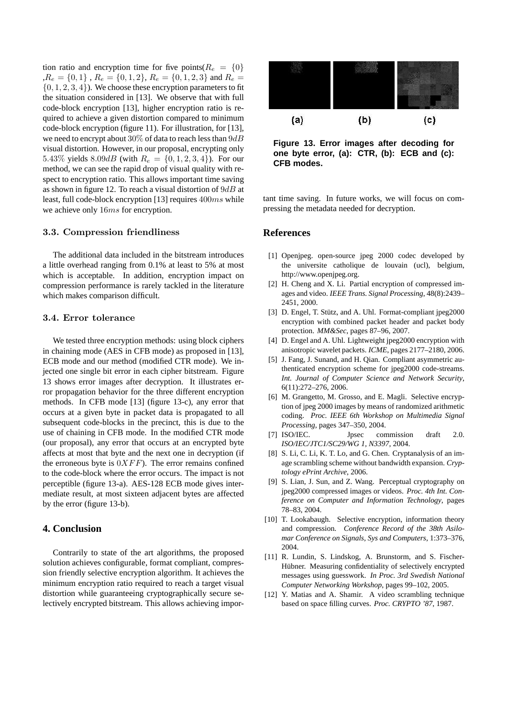tion ratio and encryption time for five points( $R_e = \{0\}$ , $R_e = \{0, 1\}$ ,  $R_e = \{0, 1, 2\}$ ,  $R_e = \{0, 1, 2, 3\}$  and  $R_e =$  $\{0, 1, 2, 3, 4\}$ . We choose these encryption parameters to fit the situation considered in [13]. We observe that with full code-block encryption [13], higher encryption ratio is required to achieve a given distortion compared to minimum code-block encryption (figure 11). For illustration, for [13], we need to encrypt about 30% of data to reach less than  $9dB$ visual distortion. However, in our proposal, encrypting only 5.43% yields 8.09dB (with  $R_e = \{0, 1, 2, 3, 4\}$ ). For our method, we can see the rapid drop of visual quality with respect to encryption ratio. This allows important time saving as shown in figure 12. To reach a visual distortion of  $9dB$  at least, full code-block encryption [13] requires 400ms while we achieve only  $16ms$  for encryption.

### 3.3. Compression friendliness

The additional data included in the bitstream introduces a little overhead ranging from 0.1% at least to 5% at most which is acceptable. In addition, encryption impact on compression performance is rarely tackled in the literature which makes comparison difficult.

#### 3.4. Error tolerance

We tested three encryption methods: using block ciphers in chaining mode (AES in CFB mode) as proposed in [13], ECB mode and our method (modified CTR mode). We injected one single bit error in each cipher bitstream. Figure 13 shows error images after decryption. It illustrates error propagation behavior for the three different encryption methods. In CFB mode [13] (figure 13-c), any error that occurs at a given byte in packet data is propagated to all subsequent code-blocks in the precinct, this is due to the use of chaining in CFB mode. In the modified CTR mode (our proposal), any error that occurs at an encrypted byte affects at most that byte and the next one in decryption (if the erroneous byte is  $0XFF$ ). The error remains confined to the code-block where the error occurs. The impact is not perceptible (figure 13-a). AES-128 ECB mode gives intermediate result, at most sixteen adjacent bytes are affected by the error (figure 13-b).

### **4. Conclusion**

Contrarily to state of the art algorithms, the proposed solution achieves configurable, format compliant, compression friendly selective encryption algorithm. It achieves the minimum encryption ratio required to reach a target visual distortion while guaranteeing cryptographically secure selectively encrypted bitstream. This allows achieving impor-



**Figure 13. Error images after decoding for one byte error, (a): CTR, (b): ECB and (c): CFB modes.**

tant time saving. In future works, we will focus on compressing the metadata needed for decryption.

### **References**

- [1] Openjpeg. open-source jpeg 2000 codec developed by the universite catholique de louvain (ucl), belgium, http://www.openjpeg.org.
- [2] H. Cheng and X. Li. Partial encryption of compressed images and video. *IEEE Trans. Signal Processing*, 48(8):2439– 2451, 2000.
- [3] D. Engel, T. Stütz, and A. Uhl. Format-compliant jpeg2000 encryption with combined packet header and packet body protection. *MM&Sec*, pages 87–96, 2007.
- [4] D. Engel and A. Uhl. Lightweight jpeg2000 encryption with anisotropic wavelet packets. *ICME*, pages 2177–2180, 2006.
- [5] J. Fang, J. Sunand, and H. Qian. Compliant asymmetric authenticated encryption scheme for jpeg2000 code-streams. *Int. Journal of Computer Science and Network Security*, 6(11):272–276, 2006.
- [6] M. Grangetto, M. Grosso, and E. Magli. Selective encryption of jpeg 2000 images by means of randomized arithmetic coding. *Proc. IEEE 6th Workshop on Multimedia Signal Processing*, pages 347–350, 2004.
- [7] ISO/IEC. Jpsec commission draft 2.0. *ISO/IEC/JTC1/SC29/WG 1, N3397*, 2004.
- [8] S. Li, C. Li, K. T. Lo, and G. Chen. Cryptanalysis of an image scrambling scheme without bandwidth expansion. *Cryptology ePrint Archive*, 2006.
- [9] S. Lian, J. Sun, and Z. Wang. Perceptual cryptography on jpeg2000 compressed images or videos. *Proc. 4th Int. Conference on Computer and Information Technology*, pages 78–83, 2004.
- [10] T. Lookabaugh. Selective encryption, information theory and compression. *Conference Record of the 38th Asilomar Conference on Signals, Sys and Computers*, 1:373–376, 2004.
- [11] R. Lundin, S. Lindskog, A. Brunstorm, and S. Fischer-Hübner. Measuring confidentiality of selectively encrypted messages using guesswork. *In Proc. 3rd Swedish National Computer Networking Workshop*, pages 99–102, 2005.
- [12] Y. Matias and A. Shamir. A video scrambling technique based on space filling curves. *Proc. CRYPTO '87*, 1987.